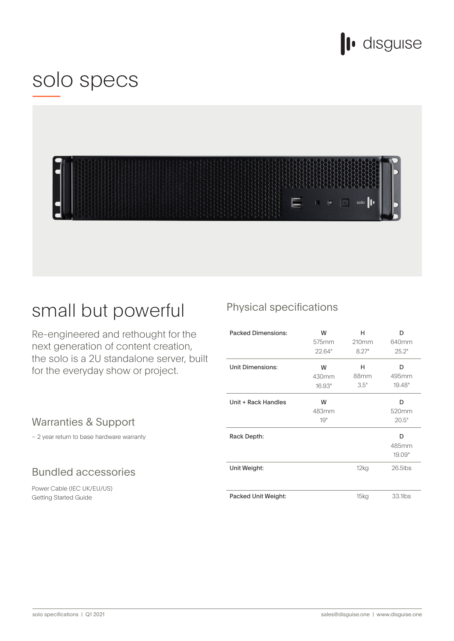

## solo specs



## small but powerful

Re-engineered and rethought for the next generation of content creation, the solo is a 2U standalone server, built for the everyday show or project.

### Warranties & Support

 $-2$  year return to base hardware warranty

### **Bundled accessories**

Power Cable (IEC UK/EU/US) Getting Started Guide

## Physical specifications

| <b>Packed Dimensions:</b> | W<br>575mm<br>22.64" | н<br>210mm<br>8.27" | D<br>640mm<br>25.2"  |
|---------------------------|----------------------|---------------------|----------------------|
| <b>Unit Dimensions:</b>   | W<br>430mm<br>16.93" | н<br>88mm<br>3.5"   | D<br>495mm<br>19.48" |
| Unit + Rack Handles       | W<br>483mm<br>19"    |                     | D<br>520mm<br>20.5"  |
| Rack Depth:               |                      |                     | D<br>485mm<br>19.09" |
| Unit Weight:              |                      | 12kg                | $26.5$ lbs           |
| Packed Unit Weight:       |                      | 15kg                | 33.1lbs              |